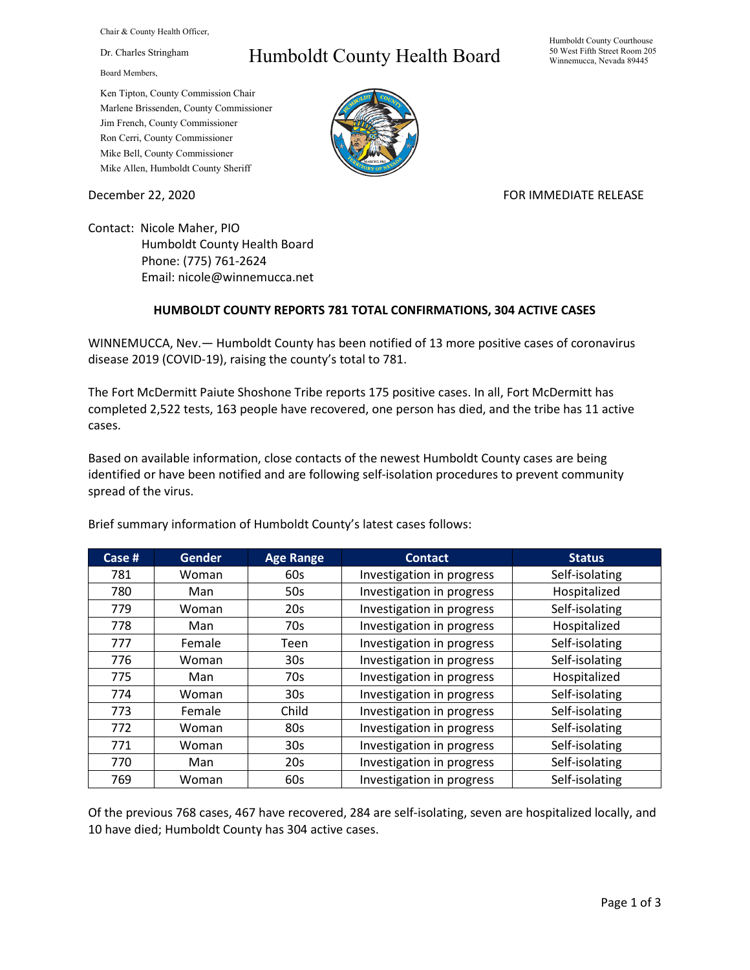Chair & County Health Officer,

Dr. Charles Stringham

Board Members,

## Humboldt County Health Board

Humboldt County Courthouse 50 West Fifth Street Room 205 Winnemucca, Nevada 89445

Ken Tipton, County Commission Chair Marlene Brissenden, County Commissioner Jim French, County Commissioner Ron Cerri, County Commissioner Mike Bell, County Commissioner Mike Allen, Humboldt County Sheriff

December 22, 2020 **FOR IMMEDIATE RELEASE** 

Contact: Nicole Maher, PIO Humboldt County Health Board Phone: (775) 761-2624 Email: nicole@winnemucca.net

## **HUMBOLDT COUNTY REPORTS 781 TOTAL CONFIRMATIONS, 304 ACTIVE CASES**

WINNEMUCCA, Nev.— Humboldt County has been notified of 13 more positive cases of coronavirus disease 2019 (COVID-19), raising the county's total to 781.

The Fort McDermitt Paiute Shoshone Tribe reports 175 positive cases. In all, Fort McDermitt has completed 2,522 tests, 163 people have recovered, one person has died, and the tribe has 11 active cases.

Based on available information, close contacts of the newest Humboldt County cases are being identified or have been notified and are following self-isolation procedures to prevent community spread of the virus.

| Case # | <b>Gender</b> | <b>Age Range</b> | <b>Contact</b>            | <b>Status</b>  |
|--------|---------------|------------------|---------------------------|----------------|
| 781    | Woman         | 60s              | Investigation in progress | Self-isolating |
| 780    | Man           | 50s              | Investigation in progress | Hospitalized   |
| 779    | Woman         | 20s              | Investigation in progress | Self-isolating |
| 778    | Man           | 70s              | Investigation in progress | Hospitalized   |
| 777    | Female        | Teen             | Investigation in progress | Self-isolating |
| 776    | Woman         | 30 <sub>s</sub>  | Investigation in progress | Self-isolating |
| 775    | Man           | 70s              | Investigation in progress | Hospitalized   |
| 774    | Woman         | 30 <sub>s</sub>  | Investigation in progress | Self-isolating |
| 773    | Female        | Child            | Investigation in progress | Self-isolating |
| 772    | Woman         | 80s              | Investigation in progress | Self-isolating |
| 771    | Woman         | 30 <sub>s</sub>  | Investigation in progress | Self-isolating |
| 770    | Man           | 20s              | Investigation in progress | Self-isolating |
| 769    | Woman         | 60s              | Investigation in progress | Self-isolating |

Brief summary information of Humboldt County's latest cases follows:

Of the previous 768 cases, 467 have recovered, 284 are self-isolating, seven are hospitalized locally, and 10 have died; Humboldt County has 304 active cases.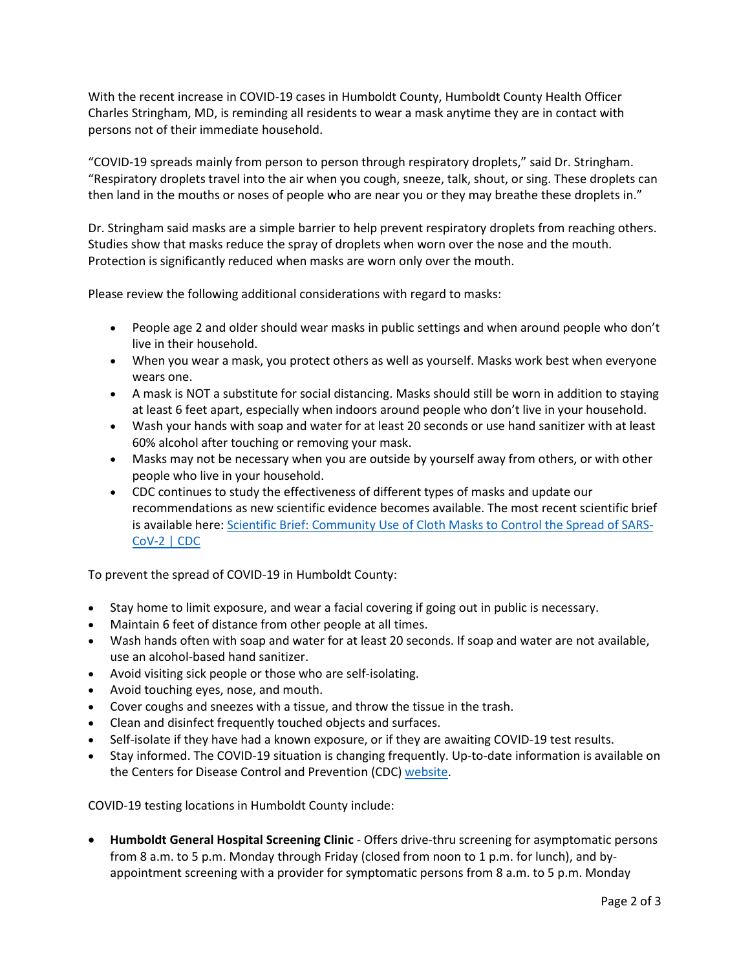With the recent increase in COVID-19 cases in Humboldt County, Humboldt County Health Officer Charles Stringham, MD, is reminding all residents to wear a mask anytime they are in contact with persons not of their immediate household.

"COVID-19 spreads mainly from person to person through respiratory droplets," said Dr. Stringham. "Respiratory droplets travel into the air when you cough, sneeze, talk, shout, or sing. These droplets can then land in the mouths or noses of people who are near you or they may breathe these droplets in."

Dr. Stringham said masks are a simple barrier to help prevent respiratory droplets from reaching others. Studies show that masks reduce the spray of droplets when worn over the nose and the mouth. Protection is significantly reduced when masks are worn only over the mouth.

Please review the following additional considerations with regard to masks:

- People age 2 and older should wear masks in public settings and when around people who don't live in their household.
- When you wear a mask, you protect others as well as yourself. Masks work best when everyone wears one.
- A mask is NOT a substitute for social distancing. Masks should still be worn in addition to staying at least 6 feet apart, especially when indoors around people who don't live in your household.
- Wash your hands with soap and water for at least 20 seconds or use hand sanitizer with at least 60% alcohol after touching or removing your mask.
- Masks may not be necessary when you are outside by yourself away from others, or with other people who live in your household.
- CDC continues to study the effectiveness of different types of masks and update our recommendations as new scientific evidence becomes available. The most recent scientific brief is available here: [Scientific Brief: Community Use of Cloth Masks to Control the Spread of SARS-](https://www.cdc.gov/coronavirus/2019-ncov/more/masking-science-sars-cov2.html)[CoV-2 | CDC](https://www.cdc.gov/coronavirus/2019-ncov/more/masking-science-sars-cov2.html)

To prevent the spread of COVID-19 in Humboldt County:

- Stay home to limit exposure, and wear a facial covering if going out in public is necessary.
- Maintain 6 feet of distance from other people at all times.
- Wash hands often with soap and water for at least 20 seconds. If soap and water are not available, use an alcohol-based hand sanitizer.
- Avoid visiting sick people or those who are self-isolating.
- Avoid touching eyes, nose, and mouth.
- Cover coughs and sneezes with a tissue, and throw the tissue in the trash.
- Clean and disinfect frequently touched objects and surfaces.
- Self-isolate if they have had a known exposure, or if they are awaiting COVID-19 test results.
- Stay informed. The COVID-19 situation is changing frequently. Up-to-date information is available on the Centers for Disease Control and Prevention (CDC) [website.](http://www.cdc.gov/coronavirus/2019-ncov/index.html)

COVID-19 testing locations in Humboldt County include:

• **Humboldt General Hospital Screening Clinic** - Offers drive-thru screening for asymptomatic persons from 8 a.m. to 5 p.m. Monday through Friday (closed from noon to 1 p.m. for lunch), and byappointment screening with a provider for symptomatic persons from 8 a.m. to 5 p.m. Monday